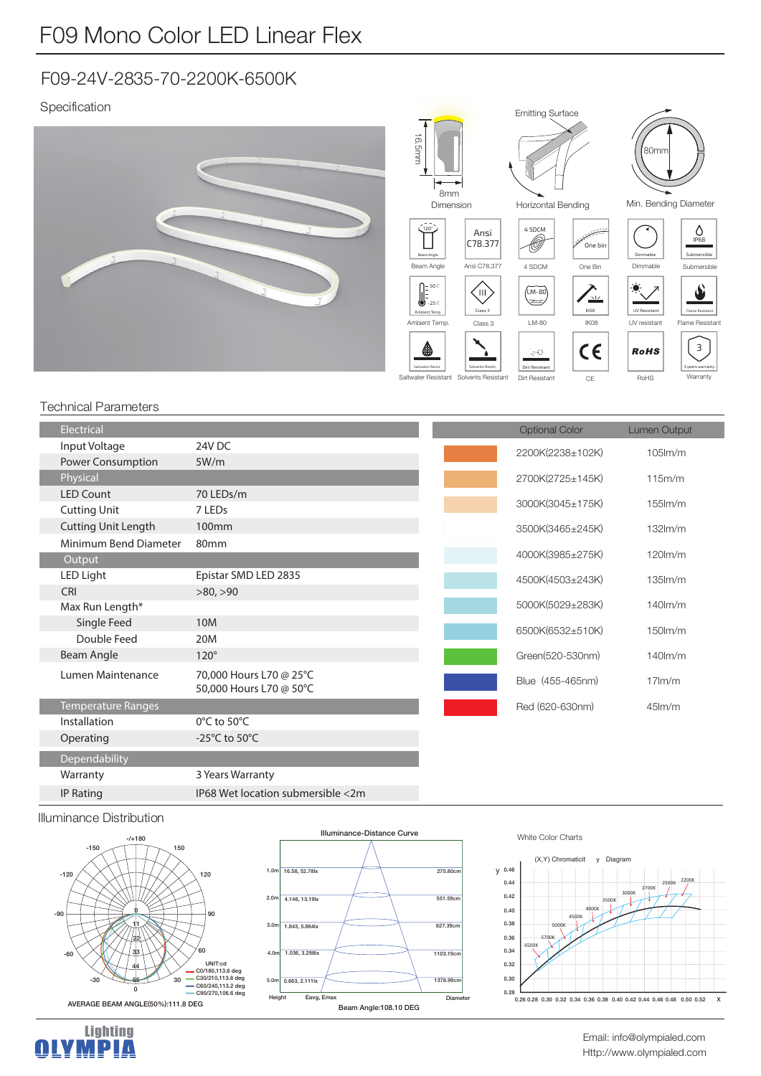# F09-24V-2835-70-2200K-6500K

# Specification



### Technical Parameters

|  | Electrical                 |                                     | <b>Optional Color</b> | <b>Lumen Output</b> |
|--|----------------------------|-------------------------------------|-----------------------|---------------------|
|  | Input Voltage              | 24V DC                              | 2200K(2238±102K)      | $105$ $\text{m/m}$  |
|  | Power Consumption          | 5W/m                                |                       |                     |
|  | Physical                   |                                     | 2700K(2725±145K)      | 115m/m              |
|  | <b>LED Count</b>           | 70 LEDs/m                           |                       |                     |
|  | <b>Cutting Unit</b>        | 7 LEDs                              | 3000K(3045±175K)      | $155$ $\text{Im/m}$ |
|  | <b>Cutting Unit Length</b> | 100mm                               | 3500K(3465±245K)      | $132$ m/m           |
|  | Minimum Bend Diameter      | 80mm                                |                       |                     |
|  | Output                     |                                     | 4000K(3985±275K)      | $120$ lm/m          |
|  | LED Light                  | Epistar SMD LED 2835                | 4500K(4503±243K)      | $135$ $\text{Im/m}$ |
|  | <b>CRI</b>                 | >80, >90                            |                       |                     |
|  | Max Run Length*            |                                     | 5000K(5029±283K)      | $140$ m/m           |
|  | Single Feed                | 10M                                 | 6500K(6532±510K)      | $150$ m/m           |
|  | Double Feed                | 20M                                 |                       |                     |
|  | Beam Angle                 | $120^\circ$                         | Green(520-530nm)      | $140$ m/m           |
|  | Lumen Maintenance          | 70,000 Hours L70 @ 25°C             | Blue (455-465nm)      | $17$ m/m            |
|  |                            | 50,000 Hours L70 @ 50°C             |                       |                     |
|  | Temperature Ranges         |                                     | Red (620-630nm)       | $45$ lm/m           |
|  | Installation               | $0^{\circ}$ C to 50 $^{\circ}$ C    |                       |                     |
|  | Operating                  | -25 $^{\circ}$ C to 50 $^{\circ}$ C |                       |                     |
|  | Dependability              |                                     |                       |                     |
|  | Warranty                   | 3 Years Warranty                    |                       |                     |
|  | IP Rating                  | IP68 Wet location submersible <2m   |                       |                     |
|  |                            |                                     |                       |                     |

#### Illuminance Distribution





# White Color Charts





Http://www.olympialed.com Email: info@olympialed.com